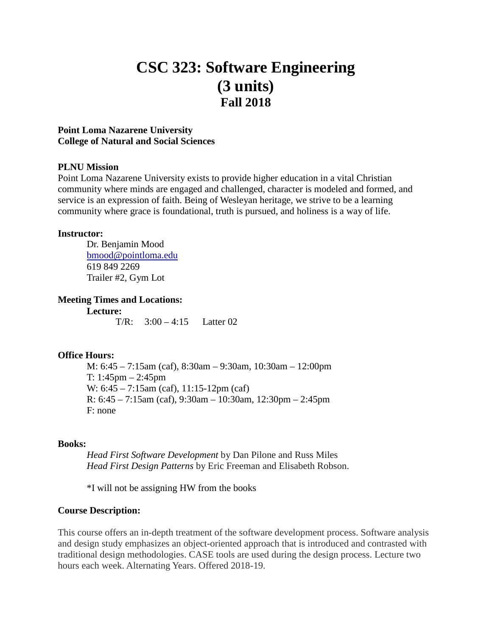# **CSC 323: Software Engineering (3 units) Fall 2018**

# **Point Loma Nazarene University College of Natural and Social Sciences**

# **PLNU Mission**

Point Loma Nazarene University exists to provide higher education in a vital Christian community where minds are engaged and challenged, character is modeled and formed, and service is an expression of faith. Being of Wesleyan heritage, we strive to be a learning community where grace is foundational, truth is pursued, and holiness is a way of life.

## **Instructor:**

Dr. Benjamin Mood [bmood@pointloma.edu](mailto:bmood@pointloma.edu) 619 849 2269 Trailer #2, Gym Lot

# **Meeting Times and Locations:**

**Lecture:** T/R:  $3:00 - 4:15$  Latter 02

# **Office Hours:**

M: 6:45 – 7:15am (caf), 8:30am – 9:30am, 10:30am – 12:00pm T: 1:45pm – 2:45pm W: 6:45 – 7:15am (caf), 11:15-12pm (caf) R: 6:45 – 7:15am (caf), 9:30am – 10:30am, 12:30pm – 2:45pm F: none

# **Books:**

*Head First Software Development* by Dan Pilone and Russ Miles *Head First Design Patterns* by Eric Freeman and Elisabeth Robson.

\*I will not be assigning HW from the books

# **Course Description:**

This course offers an in-depth treatment of the software development process. Software analysis and design study emphasizes an object-oriented approach that is introduced and contrasted with traditional design methodologies. CASE tools are used during the design process. Lecture two hours each week. Alternating Years. Offered 2018-19.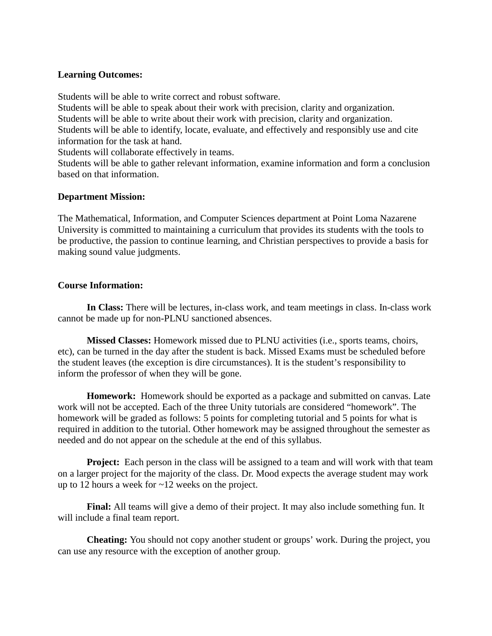# **Learning Outcomes:**

Students will be able to write correct and robust software. Students will be able to speak about their work with precision, clarity and organization. Students will be able to write about their work with precision, clarity and organization. Students will be able to identify, locate, evaluate, and effectively and responsibly use and cite information for the task at hand.

Students will collaborate effectively in teams.

Students will be able to gather relevant information, examine information and form a conclusion based on that information.

## **Department Mission:**

The Mathematical, Information, and Computer Sciences department at Point Loma Nazarene University is committed to maintaining a curriculum that provides its students with the tools to be productive, the passion to continue learning, and Christian perspectives to provide a basis for making sound value judgments.

## **Course Information:**

**In Class:** There will be lectures, in-class work, and team meetings in class. In-class work cannot be made up for non-PLNU sanctioned absences.

**Missed Classes:** Homework missed due to PLNU activities (i.e., sports teams, choirs, etc), can be turned in the day after the student is back. Missed Exams must be scheduled before the student leaves (the exception is dire circumstances). It is the student's responsibility to inform the professor of when they will be gone.

**Homework:** Homework should be exported as a package and submitted on canvas. Late work will not be accepted. Each of the three Unity tutorials are considered "homework". The homework will be graded as follows: 5 points for completing tutorial and 5 points for what is required in addition to the tutorial. Other homework may be assigned throughout the semester as needed and do not appear on the schedule at the end of this syllabus.

**Project:** Each person in the class will be assigned to a team and will work with that team on a larger project for the majority of the class. Dr. Mood expects the average student may work up to 12 hours a week for ~12 weeks on the project.

**Final:** All teams will give a demo of their project. It may also include something fun. It will include a final team report.

**Cheating:** You should not copy another student or groups' work. During the project, you can use any resource with the exception of another group.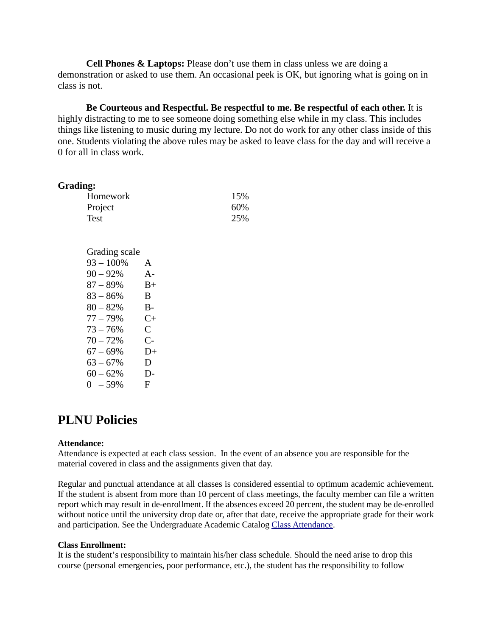**Cell Phones & Laptops:** Please don't use them in class unless we are doing a demonstration or asked to use them. An occasional peek is OK, but ignoring what is going on in class is not.

**Be Courteous and Respectful. Be respectful to me. Be respectful of each other.** It is highly distracting to me to see someone doing something else while in my class. This includes things like listening to music during my lecture. Do not do work for any other class inside of this one. Students violating the above rules may be asked to leave class for the day and will receive a 0 for all in class work.

### **Grading:**

| Homework | 15% |
|----------|-----|
| Project  | 60% |
| Test     | 25% |

| Grading scale |              |
|---------------|--------------|
| $93 - 100\%$  | A            |
| $90 - 92%$    | A-           |
| $87 - 89%$    | $B+$         |
| $83 - 86\%$   | B.           |
| $80 - 82%$    | B-           |
| $77 - 79%$    | $C_{\pm}$    |
| $73 - 76%$    | $\mathbf C$  |
| $70 - 72%$    | $C-$         |
| $67 - 69%$    | D+           |
| $63 - 67%$    | D            |
| $60 - 62%$    | D-           |
| $0 - 59%$     | $\mathbf{F}$ |

# **PLNU Policies**

### **Attendance:**

Attendance is expected at each class session. In the event of an absence you are responsible for the material covered in class and the assignments given that day.

Regular and punctual attendance at all classes is considered essential to optimum academic achievement. If the student is absent from more than 10 percent of class meetings, the faculty member can file a written report which may result in de-enrollment. If the absences exceed 20 percent, the student may be de-enrolled without notice until the university drop date or, after that date, receive the appropriate grade for their work and participation. See the Undergraduate Academic Catalog [Class Attendance.](https://catalog.pointloma.edu/content.php?catoid=35&navoid=2136#Class_Attendance)

#### **Class Enrollment:**

It is the student's responsibility to maintain his/her class schedule. Should the need arise to drop this course (personal emergencies, poor performance, etc.), the student has the responsibility to follow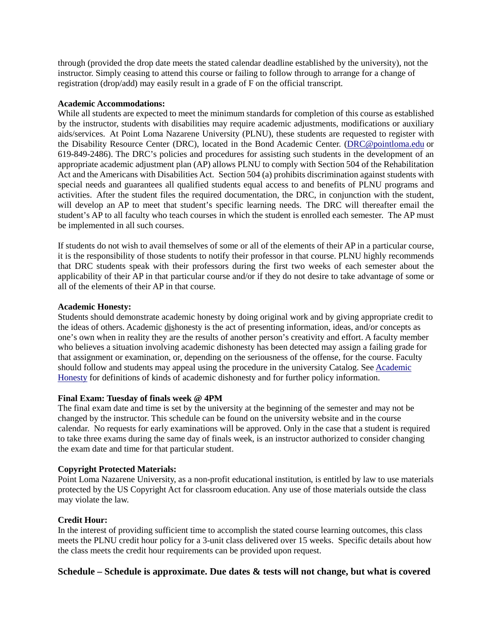through (provided the drop date meets the stated calendar deadline established by the university), not the instructor. Simply ceasing to attend this course or failing to follow through to arrange for a change of registration (drop/add) may easily result in a grade of F on the official transcript.

### **Academic Accommodations:**

While all students are expected to meet the minimum standards for completion of this course as established by the instructor, students with disabilities may require academic adjustments, modifications or auxiliary aids/services. At Point Loma Nazarene University (PLNU), these students are requested to register with the Disability Resource Center (DRC), located in the Bond Academic Center. [\(DRC@pointloma.edu](mailto:DRC@pointloma.edu) or 619-849-2486). The DRC's policies and procedures for assisting such students in the development of an appropriate academic adjustment plan (AP) allows PLNU to comply with Section 504 of the Rehabilitation Act and the Americans with Disabilities Act. Section 504 (a) prohibits discrimination against students with special needs and guarantees all qualified students equal access to and benefits of PLNU programs and activities. After the student files the required documentation, the DRC, in conjunction with the student, will develop an AP to meet that student's specific learning needs. The DRC will thereafter email the student's AP to all faculty who teach courses in which the student is enrolled each semester. The AP must be implemented in all such courses.

If students do not wish to avail themselves of some or all of the elements of their AP in a particular course, it is the responsibility of those students to notify their professor in that course. PLNU highly recommends that DRC students speak with their professors during the first two weeks of each semester about the applicability of their AP in that particular course and/or if they do not desire to take advantage of some or all of the elements of their AP in that course.

### **Academic Honesty:**

Students should demonstrate academic honesty by doing original work and by giving appropriate credit to the ideas of others. Academic dishonesty is the act of presenting information, ideas, and/or concepts as one's own when in reality they are the results of another person's creativity and effort. A faculty member who believes a situation involving academic dishonesty has been detected may assign a failing grade for that assignment or examination, or, depending on the seriousness of the offense, for the course. Faculty should follow and students may appeal using the procedure in the university Catalog. Se[e Academic](https://catalog.pointloma.edu/content.php?catoid=35&navoid=2136#Academic_Honesty)  [Honesty](https://catalog.pointloma.edu/content.php?catoid=35&navoid=2136#Academic_Honesty) for definitions of kinds of academic dishonesty and for further policy information.

### **Final Exam: Tuesday of finals week @ 4PM**

The final exam date and time is set by the university at the beginning of the semester and may not be changed by the instructor. This schedule can be found on the university website and in the course calendar. No requests for early examinations will be approved. Only in the case that a student is required to take three exams during the same day of finals week, is an instructor authorized to consider changing the exam date and time for that particular student.

### **Copyright Protected Materials:**

Point Loma Nazarene University, as a non-profit educational institution, is entitled by law to use materials protected by the US Copyright Act for classroom education. Any use of those materials outside the class may violate the law.

### **Credit Hour:**

In the interest of providing sufficient time to accomplish the stated course learning outcomes, this class meets the PLNU credit hour policy for a 3-unit class delivered over 15 weeks. Specific details about how the class meets the credit hour requirements can be provided upon request.

### **Schedule – Schedule is approximate. Due dates & tests will not change, but what is covered**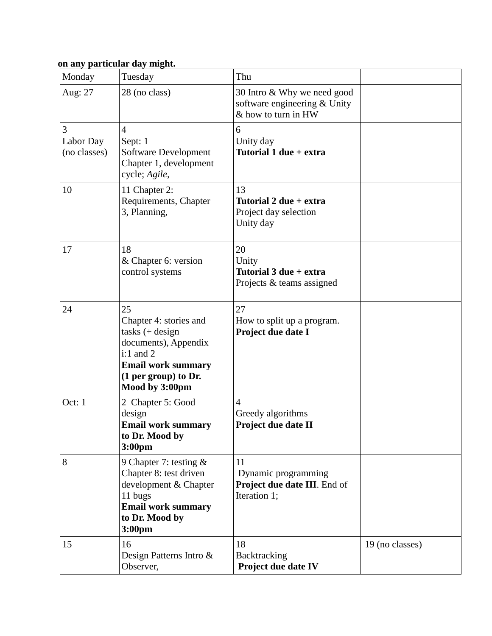# **on any particular day might.**

| Monday                         | Tuesday                                                                                                                                                          | Thu                                                                                |                 |
|--------------------------------|------------------------------------------------------------------------------------------------------------------------------------------------------------------|------------------------------------------------------------------------------------|-----------------|
| Aug: 27                        | 28 (no class)                                                                                                                                                    | 30 Intro & Why we need good<br>software engineering & Unity<br>& how to turn in HW |                 |
| 3<br>Labor Day<br>(no classes) | $\overline{4}$<br>Sept: 1<br>Software Development<br>Chapter 1, development<br>cycle; Agile,                                                                     | 6<br>Unity day<br>Tutorial 1 due + extra                                           |                 |
| 10                             | 11 Chapter 2:<br>Requirements, Chapter<br>3, Planning,                                                                                                           | 13<br>Tutorial 2 due + extra<br>Project day selection<br>Unity day                 |                 |
| 17                             | 18<br>& Chapter 6: version<br>control systems                                                                                                                    | 20<br>Unity<br>Tutorial 3 due + extra<br>Projects & teams assigned                 |                 |
| 24                             | 25<br>Chapter 4: stories and<br>$tasks (+ design)$<br>documents), Appendix<br>$i:1$ and 2<br><b>Email work summary</b><br>(1 per group) to Dr.<br>Mood by 3:00pm | 27<br>How to split up a program.<br>Project due date I                             |                 |
| Oct: 1                         | 2 Chapter 5: Good<br>design<br><b>Email work summary</b><br>to Dr. Mood by<br>3:00 <sub>pm</sub>                                                                 | $\overline{4}$<br>Greedy algorithms<br>Project due date II                         |                 |
| 8                              | 9 Chapter 7: testing $\&$<br>Chapter 8: test driven<br>development & Chapter<br>11 bugs<br><b>Email work summary</b><br>to Dr. Mood by<br>3:00 <sub>pm</sub>     | 11<br>Dynamic programming<br>Project due date III. End of<br>Iteration 1;          |                 |
| 15                             | 16<br>Design Patterns Intro &<br>Observer,                                                                                                                       | 18<br>Backtracking<br>Project due date IV                                          | 19 (no classes) |